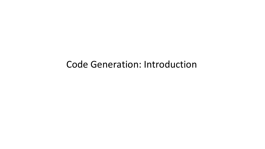Code Generation: Introduction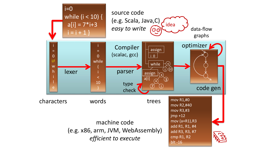machine code (e.g. x86, arm, JVM, WebAssembly) efficient to execute

mov R1,#0 mov R2,#40 mov R3,#3 jmp +12 mov (a+R1),R3 add R1, R1, #4 add R3, R3, #7 cmp R1, R2 blt -16

## data-flow graphs



## characters words trees

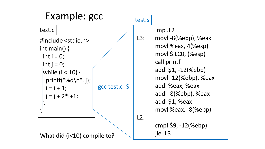jmp .L2 .L3: movl-8(%ebp), %eax movl %eax, 4(%esp) movl \$.LC0, (%esp) call printf addl \$1, -12(%ebp) movl 12(%ebp), %eax addl %eax, %eax addl -8(%ebp), %eax addl \$1, %eax movl %eax,  $-8$ (%ebp) cmpl \$9, -12(%ebp)

#include <stdio.h> int main() { int i = 0; int j = 0;  $|$ while  $|i < 10$ i = i + 1;  $j = j + 2* i + 1;$ } }



What did (i<10) compile to?

.L2:

jle .L3

test.c

## test.s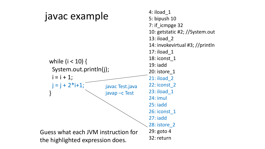## javac example

i = i + 1; }



4: iload\_1 5: bipush 10 7: if\_icmpge 32 10: getstatic #2; //System.out 13: iload\_2 14: invokevirtual #3; //println 17: iload\_1 18: iconst\_1 19: iadd 20: istore\_1 21: iload\_2 22: iconst\_2 23: iload\_1 24: imul 25: iadd 26: iconst\_1 27: iadd 28: istore\_2 29: goto 4 32: return

Guess what each JVM instruction for the highlighted expression does.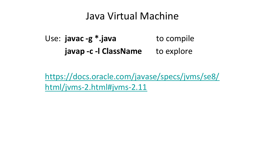# Java Virtual Machine

## Use:  $java - g *.java$  to compile javap - c - l ClassName to explore

## https://docs.oracle.com/javase/specs/jvms/se8/ html/jvms-2.html#jvms-2.11

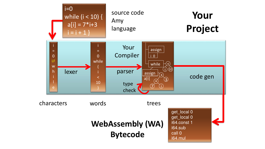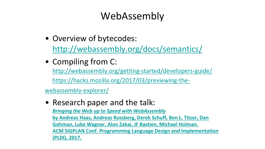webassembly-explorer/

# WebAssembly

## • Compiling from C: http://webassembly.org/getting-started/developers-guide/

https://hacks.mozilla.org/2017/03/previewing-the-

## • Overview of bytecodes: http://webassembly.org/docs/semantics/

## • Research paper and the talk: Bringing the Web up to Speed with WebAssembly

by Andreas Haas, Andreas Rossberg, Derek Schuff, Ben L. Titzer, Dan Gohman, Luke Wagner, Alon Zakai, JF Bastien, Michael Holman. ACM SIGPLAN Conf. Programming Language Design and Implementation

(PLDI), 2017.

![](_page_6_Picture_14.jpeg)

![](_page_6_Picture_15.jpeg)

![](_page_6_Picture_16.jpeg)

![](_page_6_Picture_17.jpeg)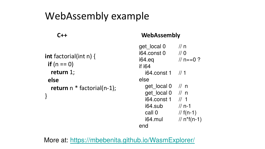- int factorial(int n) {
	- return  $n *$  factorial(n-1);

# WebAssembly example

 $if(n == 0)$ return 1; else }

![](_page_7_Picture_3.jpeg)

| 11n              |
|------------------|
| 110              |
| $1/n = 0$ ?      |
|                  |
| 164.const 1 // 1 |
|                  |
| get local 0 // n |
| aet local 0 // n |
| $\frac{1}{1}$    |
| $1/n-1$          |
| $//f(n-1)$       |
| $1/n * f(n-1)$   |
|                  |
|                  |

## C++ WebAssembly

## More at: https://mbebenita.github.io/WasmExplorer/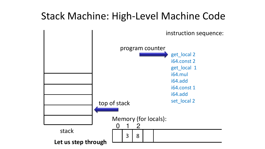get\_local 2 i64.const 2 get\_local 1 i64.mul i64.add i64.const 1 i64.add set\_local 2

instruction sequence:

![](_page_8_Picture_3.jpeg)

# Stack Machine: High-Level Machine Code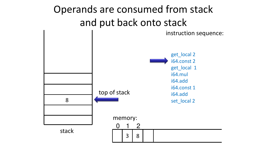# instruction sequence:

![](_page_9_Picture_5.jpeg)

![](_page_9_Figure_3.jpeg)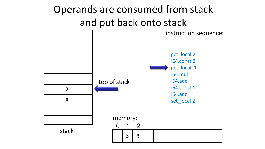3 8

| $\overline{1}$<br>$\overline{\phantom{a}}$<br>ſ |  |
|-------------------------------------------------|--|
|                                                 |  |
|                                                 |  |
|                                                 |  |

## Operands are consumed from stack and put back onto stack instruction sequence: memory: 1 20 top of stack 8 2 get\_local 2 i64.const 2 get\_local 1 i64.mul i64.add i64.const 1 i64.add set\_local 2

stack

![](_page_10_Picture_3.jpeg)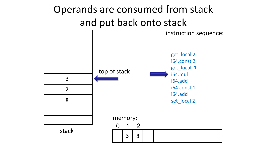## Operands are consumed from stack and put back onto stack instruction sequence: memory: 1 20 3 8 top of stack stack 8 2 3 get\_local 2 i64.const 2 get\_local 1 i64.mul i64.add i64.const 1 i64.add set\_local 2

![](_page_11_Picture_3.jpeg)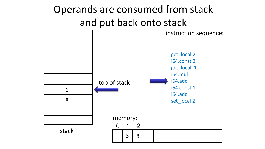3 8

![](_page_12_Picture_5.jpeg)

![](_page_12_Picture_6.jpeg)

## Operands are consumed from stack and put back onto stack instruction sequence: memory: 1 20 top of stack 8 **h** get\_local 2 i64.const 2 get\_local 1 i64.mul i64.add i64.const 1 i64.add set\_local 2

| $\overline{L}$ |  |
|----------------|--|
| ſ              |  |
| ſ<br>Ì         |  |
|                |  |
|                |  |

stack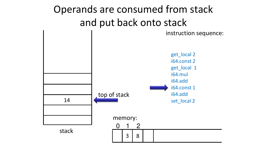# and put back onto stack instruction sequence:

![](_page_13_Figure_1.jpeg)

get\_local 2 i64.const 2 get\_local 1 i64.mul i64.add i64.const 1 i64.add set\_local 2

![](_page_13_Picture_5.jpeg)

![](_page_13_Figure_6.jpeg)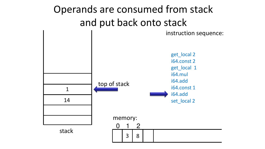# and put back onto stack instruction sequence:

![](_page_14_Figure_1.jpeg)

get\_local 2 i64.const 2 get\_local 1 i64.mul i64.add i64.const 1 i64.add set\_local 2

![](_page_14_Picture_5.jpeg)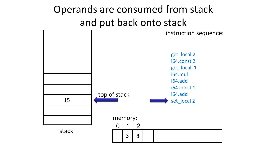# instruction sequence:

![](_page_15_Figure_1.jpeg)

i64.const 2 get\_local 1 i64.const 1 set\_local 2

![](_page_15_Picture_5.jpeg)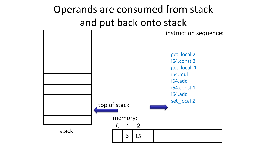## Operands are consumed from stack and put back onto stack instruction sequence:

![](_page_16_Figure_3.jpeg)

get\_local 2 i64.const 2 get\_local 1 i64.mul i64.add i64.const 1 i64.add set\_local 2

![](_page_16_Picture_6.jpeg)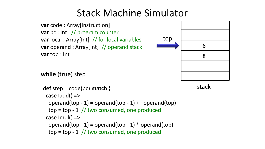- var code : Array[Instruction] var pc : Int // program counter var local : Array[Int] // for local variables var operand : Array[Int] // operand stack var top : Int
- while (true) step
- def step =  $code(pc)$  match {
	- case Iadd() =>
	- operand(top  $-1$ ) = operand(top  $-1$ ) + operand(top)
	-
	- $top = top 1$  // two consumed, one produced case Imul() =>
	- operand(top  $-1$ ) = operand(top  $-1$ ) \* operand(top)
	- $top = top 1$  // two consumed, one produced

![](_page_17_Figure_10.jpeg)

## stack

| 6 |  |
|---|--|
| 8 |  |
|   |  |
|   |  |
|   |  |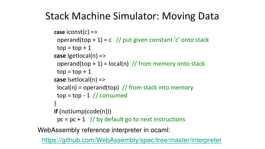# Stack Machine Simulator: Moving Data

case iconst(c) => operand(top + 1) = c // put given constant 'c' onto stack  $top = top + 1$ 

case Igetlocal(n) => operand(top + 1) =  $|ocal(n)|/f$  from memory onto stack  $top = top + 1$ case Isetlocal(n) =>  $local(n) = operand(top)$  // from stack into memory  $top = top - 1$  // consumed

- -
- 
- 
- 
- 
- 
- 
- 
- }
- 
- 
- 
- -

if (notJump(code(n)))  $pc = pc + 1$  // by default go to next instructions https://github.com/WebAssembly/spec/tree/master/interpreter WebAssembly reference interpreter in ocaml: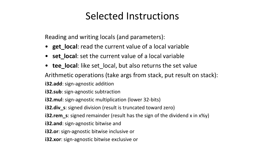# Selected Instructions

- Reading and writing locals (and parameters):
- get\_local: read the current value of a local variable
- set\_local: set the current value of a local variable
- tee\_local: like set local, but also returns the set value
- Arithmetic operations (take args from stack, put result on stack):
- i32.add: sign-agnostic addition
- i32.sub: sign-agnostic subtraction
- i32. mul: sign-agnostic multiplication (lower 32-bits)
- i32.div\_s: signed division (result is truncated toward zero)
- i32.rem\_s: signed remainder (result has the sign of the dividend x in x%y)
- i32.and: sign-agnostic bitwise and
- i32.or: sign-agnostic bitwise inclusive or
- i32.xor: sign-agnostic bitwise exclusive or
- 
- 

![](_page_19_Picture_17.jpeg)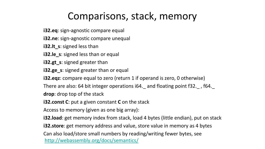# Comparisons, stack, memory

- i32.eq: sign-agnostic compare equal
- i32.ne: sign-agnostic compare unequal
- i32.lt\_s: signed less than
- i32.le s: signed less than or equal
- i32.gt\_s: signed greater than
- i32.ge\_s: signed greater than or equal
- i32.eqz: compare equal to zero (return 1 if operand is zero, 0 otherwise)
- There are also: 64 bit integer operations i64. and floating point f32. , f64.
- drop: drop top of the stack
- i32.const C: put a given constant C on the stack
- Access to memory (given as one big array):
- i32.load: get memory index from stack, load 4 bytes (little endian), put on stack
- i32.store: get memory address and value, store value in memory as 4 bytes
- Can also load/store small numbers by reading/writing fewer bytes, see
- http://webassembly.org/docs/semantics/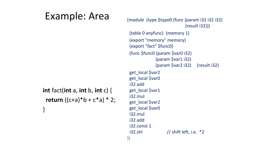# Example: Area int fact(int  $a$ , int  $b$ , int  $c$ ) { return  $((c+a)*b+c*a)*2;$ }

```
(module (type $type0 (func (param i32 i32 i32)
                            (result i32)))
 (table 0 anyfunc)  (memory 1)  
 (export "memory" memory)
 (export "fact" $func0)  
(func $func0 (param $var0 i32)
             (param $var1 i32)
             (param $var2 i32)     (result i32)    
get_local $var2
get_local $var0
i32.add
get_local $var1
i32.mul
get_local $var2
get_local $var0
i32.mul
i32.add
i32.const 1
i32.shl // shift left, i.e.  *2
```
))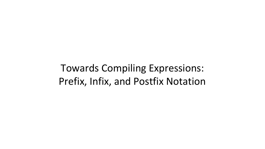Towards Compiling Expressions: Prefix, Infix, and Postfix Notation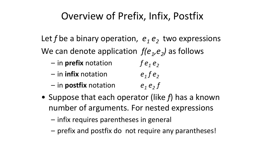# Overview of Prefix, Infix, Postfix

- -
	-
	-

![](_page_23_Picture_14.jpeg)

- Let f be a binary operation,  $e_1 e_2$  two expressions We can denote application  $f(e_1,e_2)$  as follows
	- in prefix notation f e<sub>1</sub> e<sub>2</sub>
	- $-$  in infix notation e<sub>1</sub> f e<sub>2</sub>
	- in postfix notation  $e_1 e_2 f$
- Suppose that each operator (like  $f$ ) has a known
	- number of arguments. For nested expressions
	- infix requires parentheses in general
	- prefix and postfix do not require any parantheses!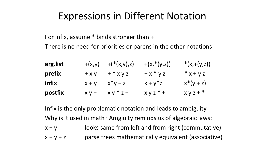- 
- 
- 
- 
- 
- 
- 
- 

# Expressions in Different Notation

For infix, assume \* binds stronger than + There is no need for priorities or parens in the other notations

Infix is the only problematic notation and leads to ambiguity Why is it used in math? Amgiuity reminds us of algebraic laws:  $x + y$  looks same from left and from right (commutative)  $x + y + z$  parse trees mathematically equivalent (associative)

- 
- 

- 
- 
- 
- 
- 

![](_page_24_Figure_11.jpeg)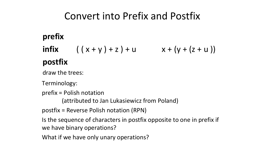Convert into Prefix and Postfix

prefix postfix draw the trees: Terminology: prefix = Polish notation

- What if we have only unary operations?
- we have binary operations?
- Is the sequence of characters in postfix opposite to one in prefix if
- (attributed to Jan Lukasiewicz from Poland) postfix = Reverse Polish notation (RPN)
- 
- 
- 
- infix  $(( x + y) + z) + u$   $x + (y + (z + u))$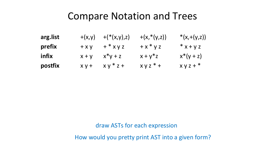## Compare Notation and Trees

![](_page_26_Figure_2.jpeg)

![](_page_26_Figure_4.jpeg)

## draw ASTs for each expression How would you pretty print AST into a given form?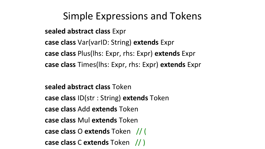# Simple Expressions and Tokens

- 
- 

- sealed abstract class Expr
- 
- case class Var(varID: String) extends Expr case class Plus(lhs: Expr, rhs: Expr) extends Expr
- case class Times(lhs: Expr, rhs: Expr) extends Expr
- sealed abstract class Token
- case class ID(str : String) extends Token
- case class Add extends Token
- case class Mul extends Token
- case class O extends Token // (
- case class C extends Token // )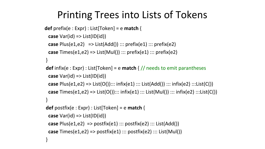- def prefix(e : Expr) : List[Token] = e match {
- case Var(id) => List(ID(id))
	- case Plus(e1,e2)  $\Rightarrow$  List(Add()) ::: prefix(e1) ::: prefix(e2)
	- case Times(e1,e2) => List(Mul()) ::: prefix(e1) ::: prefix(e2)
	-

# Printing Trees into Lists of Tokens

}

- def infix(e : Expr) : List[Token] = e match {  $//$  needs to emit parantheses case  $Var(id) \Rightarrow List(ID(id))$ 
	-
	-
- case Plus(e1,e2) => List(O())::: infix(e1) ::: List(Add()) ::: infix(e2) :::List(C()) case  $Times(e1,e2) \Rightarrow List(O())::: infix(e1)::: List(Mul())::: infix(e2):::List(C())$
- }
- def postfix(e : Expr) : List[Token] = e match { case  $Var(id) \Rightarrow List(ID(id))$ 
	-
	-
- case Plus(e1,e2) => postfix(e1) ::: postfix(e2) ::: List(Add()) case  $Times(e1,e2) \Rightarrow postfix(e1) :: postfix(e2) :: List(Mull))$
- }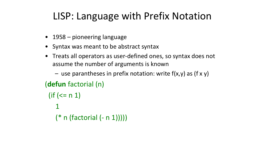# LISP: Language with Prefix Notation

- 1958 pioneering language
	- assume the number of arguments is known
- Syntax was meant to be abstract syntax • Treats all operators as user-defined ones, so syntax does not
	-
	- use parantheses in prefix notation: write  $f(x,y)$  as  $(f x y)$
- 
- $($ if (<= n 1) 1
	- $(* n (factorial (- n 1))))$

(defun factorial (n)

![](_page_29_Picture_11.jpeg)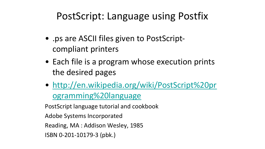# PostScript: Language using Postfix

- .ps are ASCII files given to PostScriptcompliant printers
- 
- Each file is a program whose execution prints the desired pages
- http://en.wikipedia.org/wiki/PostScript%20pr ogramming%20language
- 
- PostScript language tutorial and cookbook
- Adobe Systems Incorporated
- Reading, MA : Addison Wesley, 1985
- ISBN 0-201-10179-3 (pbk.)

- 
- 

![](_page_30_Picture_15.jpeg)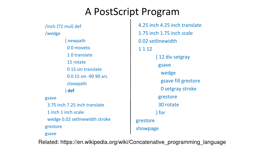# A PostScript Program

/inch {72 mul} def /wedge

- { newpath
- 0 0 moveto
- 1 0 translate
- 15 rotate
- 0 15 sin translate
- 0 0 15 sin -90 90 arc
- closepath
- } def
- 
- 
- 

gsave

3.75 inch 7.25 inch translate 1 inch 1 inch scale wedge 0.02 setlinewidth stroke grestore gsave Related: https://en.wikipedia.org/wiki/Concatenative\_programming\_language

- 4.25 inch 4.25 inch translate 1.75 inch 1.75 inch scale 0.02 setlinewidth 1 1 1 2
	- { 12 div setgray gsave wedge gsave fill grestore 0 setgray stroke grestore 30 rotate } for
- grestore
- showpage
-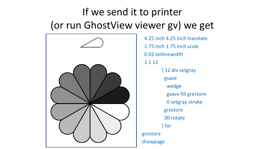![](_page_32_Figure_0.jpeg)

# If we send it to printer (or run GhostView viewer gv) we get

![](_page_32_Picture_2.jpeg)

![](_page_32_Picture_3.jpeg)

4.25 inch 4.25 inch translate 1.75 inch 1.75 inch scale 0.02 setlinewidth 1 1 12 { 12 div setgray gsave wedge gsave fill grestore 0 setgray stroke grestore 30 rotate } for grestore showpage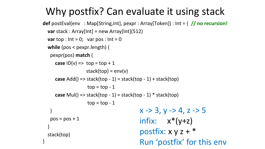## $x \rightarrow 3, y \rightarrow 4, z \rightarrow 5$ infix:  $x^*(y+z)$ postfix: x y z + \* Run 'postfix' for this env

}  $pos = pos + 1$ } stack(top) }

## Why postfix? Can evaluate it using stack def postEval(env : Map[String,Int], pexpr : Array[Token]) : Int =  $\frac{1}{1}$  no recursion! var stack : Array[Int] = new Array[Int](512)

- 
- 
- var top :  $Int = 0$ ; var pos :  $Int = 0$
- while (pos < pexpr.length) {
	- pexpr(pos) match {
		- case  $ID(v) \Rightarrow top = top + 1$ 
			- $stack(top) = env(v)$
		- case  $Add() \Rightarrow stack(top 1) = stack(top 1) + stack(top)$

 $top = top - 1$ 

- case Mul() => stack(top  $-1$ ) = stack(top  $-1$ )  $*$  stack(top)  $top = top - 1$ 
	-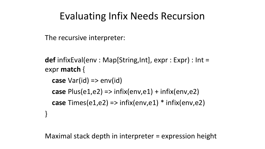# Evaluating Infix Needs Recursion

case  $Var(id) \Rightarrow env(id)$ 

## case  $Plus(e1,e2) \Rightarrow$  infix(env,e1) + infix(env,e2) case  $Times(e1,e2) => infix(env,e1) * infix(env,e2)$

The recursive interpreter:

def infixEval(env : Map[String,Int], expr : Expr) : Int = expr match {

}

Maximal stack depth in interpreter = expression height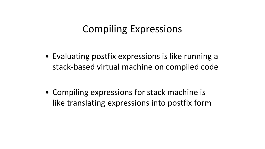# Compiling Expressions

## • Evaluating postfix expressions is like running a stack-based virtual machine on compiled code

• Compiling expressions for stack machine is like translating expressions into postfix form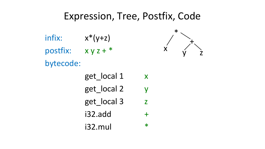# Expression, Tree, Postfix, Code

![](_page_36_Picture_0.jpeg)

infix:  $x^*(y+z)$ bytecode:

- postfix: x y z + \*
	- get\_local 1 x
	- get\_local 2 y
	- get\_local 3
	- 132.add
	- i32.mul \*

![](_page_36_Figure_9.jpeg)

![](_page_36_Figure_10.jpeg)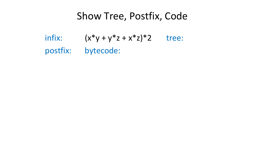# Show Tree, Postfix, Code infix:  $(x^*y + y^*z + x^*z)^*2$  tree: postfix: bytecode: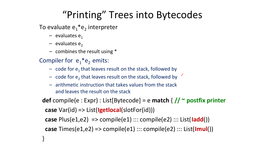# "Printing" Trees into Bytecodes

- To evaluate  $e_1*e_2$  interpreter
	- evaluates e1
	- $-$  evaluates  $e_2$
	- combines the result using \*
- Compiler for  $e_1*e_2$  emits:
	-
	- $-$  code for  $e_1$  that leaves result on the stack, followed by – code for  $e_2$  that leaves result on the stack, followed by
	- arithmetic instruction that takes values from the stack and leaves the result on the stack
- - def compile(e : Expr) : List[Bytecode] = e match {  $// \sim$  postfix printer case Var(id) => List(Igetlocal(slotFor(id)))
		-
		- case Plus(e1,e2) => compile(e1) ::: compile(e2) ::: List(ladd())
		- case Times(e1,e2) => compile(e1) ::: compile(e2) ::: List( $|mul()$ )
	- }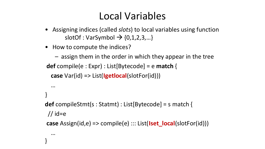## Local Variables

- Assigning indices (called slots) to local variables using function slotOf : VarSymbol  $\rightarrow$  {0,1,2,3,...}
- How to compute the indices?
- assign them in the order in which they appear in the tree def compile(e : Expr) : List[Bytecode] = e match { case Var(id) => List(Igetlocal(slotFor(id)))
	-
	-

- def compileStmt(s : Statmt) : List[Bytecode] = s match {
- case  $\text{Assign}(id, e) \Rightarrow \text{compile}(e) :: \text{List}(\text{Iset\_local}(slotFor(id)))$

… } // id=e … }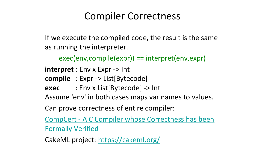# Compiler Correctness

- If we execute the compiled code, the result is the same as running the interpreter.
	- exec(env,compile(expr)) == interpret(env,expr)
- $\text{interpret}: \text{Env} \times \text{Expr} \rightarrow \text{Int}$
- compile : Expr > List[Bytecode]
- exec : Env x List[Bytecode] > Int
- Assume 'env' in both cases maps var names to values.
- Can prove correctness of entire compiler:
- CompCert A C Compiler whose Correctness has been
- Formally Verified

![](_page_40_Picture_11.jpeg)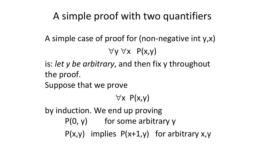![](_page_41_Picture_0.jpeg)

# A simple proof with two quantifiers A simple case of proof for (non-negative int  $y, x$ )  $\forall y \forall x \quad P(x,y)$ is: let y be arbitrary, and then fix y throughout the proof. Suppose that we prove  $\forall x \; P(x,y)$ by induction. We end up proving  $P(0, y)$  for some arbitrary y  $P(x,y)$  implies  $P(x+1,y)$  for arbitrary x,y

![](_page_41_Picture_4.jpeg)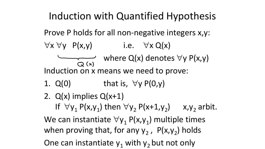![](_page_42_Picture_0.jpeg)

## Induction with Quantified Hypothesis Prove P holds for all non-negative integers x,y:  $\forall x \forall y \quad P(x,y)$  i.e.  $\forall x \; Q(x)$ where  $Q(x)$  denotes  $\forall y P(x,y)$  $Q(x)$ Induction on x means we need to prove: 1.  $Q(0)$  that is,  $\forall y P(0,y)$ 2. Q(x) implies Q(x+1) If  $\forall y_1 P(x,y_1)$  then  $\forall y_2 P(x+1,y_2)$  x,y<sub>2</sub> arbit. We can instantiate  $\forall y_1 P(x,y_1)$  multiple times when proving that, for any  $y_2$ ,  $P(x,y_2)$  holds One can instantiate  $y_1$  with  $y_2$  but not only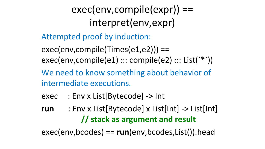exec(env,compile(expr)) == interpret(env,expr) Attempted proof by induction:  $exec(env, compile(Times(e1,e2))) ==$ exec(env,compile(e1) ::: compile(e2) ::: List(`\*`)) We need to know something about behavior of intermediate executions. exec : Env x List[Bytecode] > Int run : Env x List[Bytecode] x List[Int] > List[Int]

# // stack as argument and result  $exec(env, bcodes) == run(env, bcodes, List())$ .head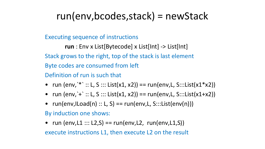# run(env,bcodes,stack) = newStack

- Executing sequence of instructions
	- run : Env x List[Bytecode] x List[Int] > List[Int]
- Stack grows to the right, top of the stack is last element
- Byte codes are consumed from left
- Definition of run is such that
- run (env,  $*$  :: L, S ::: List(x1, x2)) == run(env, L, S:::List(x1\*x2)) • run (env, `+` :: L, S ::: List(x1, x2)) == run(env,L, S:::List(x1+x2))
- 
- $run(env,lLoad(n) :: L, S) == run(env, L, S::List(env(n)))$
- By induction one shows:
- 
- run (env,L $1:: L2,S$ ) == run(env,L $2$ , run(env,L $1,S$ )) execute instructions L1, then execute L2 on the result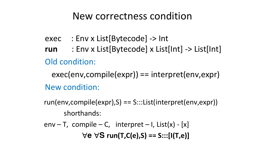# New correctness condition

- exec : Env x List[Bytecode] > Int
	-
- Old condition:
- New condition:
	-
	- shorthands:
- env T, compile C, interpret I,  $List(x)$  [x]

# run : Env x List[Bytecode] x List[Int] > List[Int]

## exec(env,compile(expr)) == interpret(env,expr)

## run(env,compile(expr),S) == S:::List(interpret(env,expr))

# $\forall e \forall S$  run(T,C(e),S) == S:::[I(T,e)]